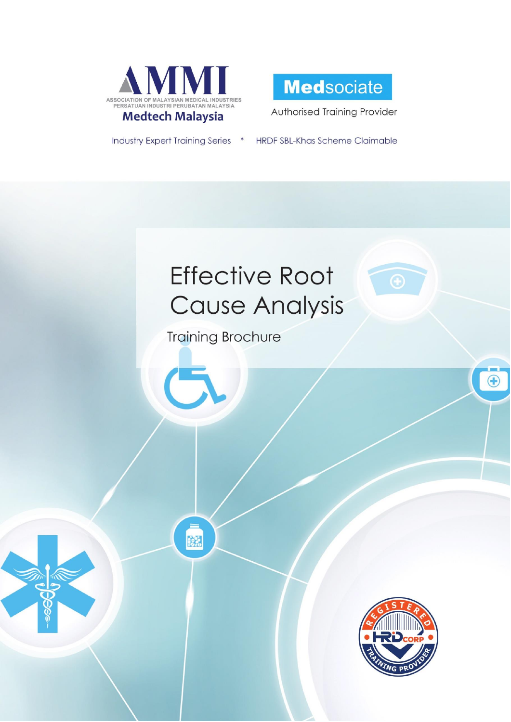



Authorised Training Provider

**Industry Expert Training Series** 

HRDF SBL-Khas Scheme Claimable  $\ast$ 

# **Effective Root Cause Analysis**

**Training Brochure** 

X



 $\bigoplus$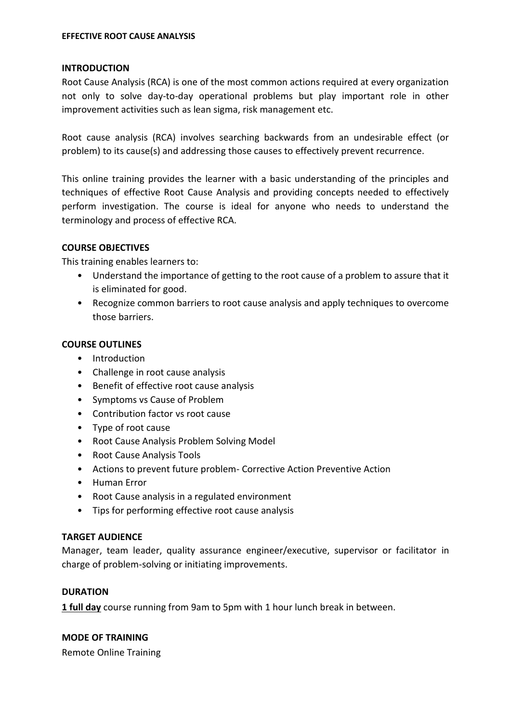## **INTRODUCTION**

Root Cause Analysis (RCA) is one of the most common actions required at every organization not only to solve day-to-day operational problems but play important role in other improvement activities such as lean sigma, risk management etc.

Root cause analysis (RCA) involves searching backwards from an undesirable effect (or problem) to its cause(s) and addressing those causes to effectively prevent recurrence.

This online training provides the learner with a basic understanding of the principles and techniques of effective Root Cause Analysis and providing concepts needed to effectively perform investigation. The course is ideal for anyone who needs to understand the terminology and process of effective RCA.

## **COURSE OBJECTIVES**

This training enables learners to:

- Understand the importance of getting to the root cause of a problem to assure that it is eliminated for good.
- Recognize common barriers to root cause analysis and apply techniques to overcome those barriers.

## **COURSE OUTLINES**

- Introduction
- Challenge in root cause analysis
- Benefit of effective root cause analysis
- Symptoms vs Cause of Problem
- Contribution factor vs root cause
- Type of root cause
- Root Cause Analysis Problem Solving Model
- Root Cause Analysis Tools
- Actions to prevent future problem- Corrective Action Preventive Action
- Human Error
- Root Cause analysis in a regulated environment
- Tips for performing effective root cause analysis

## **TARGET AUDIENCE**

Manager, team leader, quality assurance engineer/executive, supervisor or facilitator in charge of problem-solving or initiating improvements.

### **DURATION**

**1 full day** course running from 9am to 5pm with 1 hour lunch break in between.

## **MODE OF TRAINING**

Remote Online Training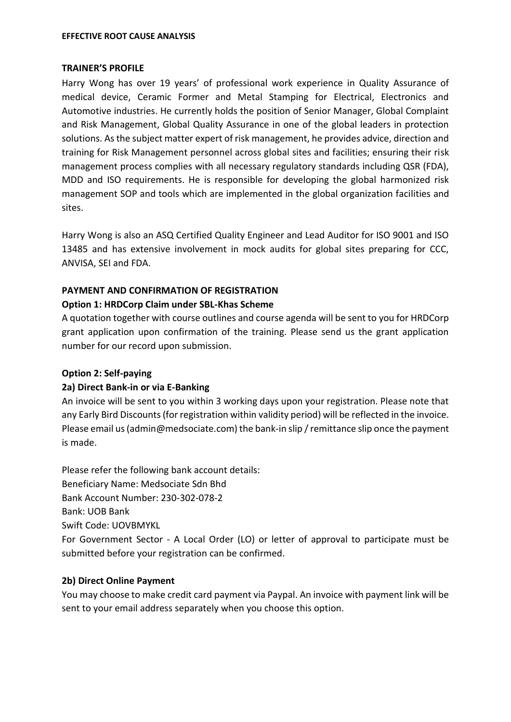#### **EFFECTIVE ROOT CAUSE ANALYSIS**

#### **TRAINER'S PROFILE**

Harry Wong has over 19 years' of professional work experience in Quality Assurance of medical device, Ceramic Former and Metal Stamping for Electrical, Electronics and Automotive industries. He currently holds the position of Senior Manager, Global Complaint and Risk Management, Global Quality Assurance in one of the global leaders in protection solutions. As the subject matter expert of risk management, he provides advice, direction and training for Risk Management personnel across global sites and facilities; ensuring their risk management process complies with all necessary regulatory standards including QSR (FDA), MDD and ISO requirements. He is responsible for developing the global harmonized risk management SOP and tools which are implemented in the global organization facilities and sites.

Harry Wong is also an ASQ Certified Quality Engineer and Lead Auditor for ISO 9001 and ISO 13485 and has extensive involvement in mock audits for global sites preparing for CCC, ANVISA, SEI and FDA.

### **PAYMENT AND CONFIRMATION OF REGISTRATION**

## **Option 1: HRDCorp Claim under SBL-Khas Scheme**

A quotation together with course outlines and course agenda will be sent to you for HRDCorp grant application upon confirmation of the training. Please send us the grant application number for our record upon submission.

### **Option 2: Self-paying**

### **2a) Direct Bank-in or via E-Banking**

An invoice will be sent to you within 3 working days upon your registration. Please note that any Early Bird Discounts (for registration within validity period) will be reflected in the invoice. Please email us (admin@medsociate.com) the bank-in slip / remittance slip once the payment is made.

Please refer the following bank account details: Beneficiary Name: Medsociate Sdn Bhd Bank Account Number: 230-302-078-2 Bank: UOB Bank Swift Code: UOVBMYKL For Government Sector - A Local Order (LO) or letter of approval to participate must be submitted before your registration can be confirmed.

### **2b) Direct Online Payment**

You may choose to make credit card payment via Paypal. An invoice with payment link will be sent to your email address separately when you choose this option.